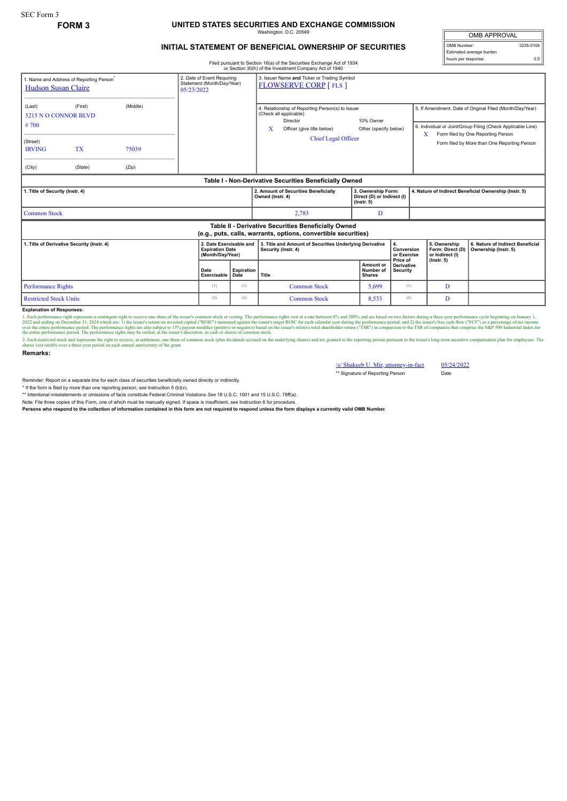## **FORM 3 UNITED STATES SECURITIES AND EXCHANGE COMMISSION** hington, D.C. 205

## **INITIAL STATEMENT OF BENEFICIAL OWNERSHIP OF SECURITIES**

Filed pursuant to Section 16(a) of the Securities Exchange Act of 1934 or Section 30(h) of the Investment Company Act of 1940

| 1. Name and Address of Reporting Person <sup>®</sup><br><b>Hudson Susan Claire</b>                                    | 2. Date of Event Requiring<br>Statement (Month/Day/Year)<br>05/23/2022 |                |                     | 3. Issuer Name and Ticker or Trading Symbol<br><b>FLOWSERVE CORP [FLS ]</b> |                                                                                                                                                         |                                                                                |                                         |                                                       |                                                                                                                                                                                                                     |                                                                         |                                                          |
|-----------------------------------------------------------------------------------------------------------------------|------------------------------------------------------------------------|----------------|---------------------|-----------------------------------------------------------------------------|---------------------------------------------------------------------------------------------------------------------------------------------------------|--------------------------------------------------------------------------------|-----------------------------------------|-------------------------------------------------------|---------------------------------------------------------------------------------------------------------------------------------------------------------------------------------------------------------------------|-------------------------------------------------------------------------|----------------------------------------------------------|
| (Middle)<br>(First)<br>(Last)<br>5215 N O CONNOR BLVD<br>#700<br>(Street)                                             |                                                                        |                |                     |                                                                             | 4. Relationship of Reporting Person(s) to Issuer<br>(Check all applicable)<br>Director<br>X<br>Officer (give title below)<br><b>Chief Legal Officer</b> |                                                                                | 10% Owner<br>Other (specify below)      |                                                       | 5. If Amendment, Date of Original Filed (Month/Day/Year)<br>6. Individual or Joint/Group Filing (Check Applicable Line)<br>Form filed by One Reporting Person<br>X.<br>Form filed by More than One Reporting Person |                                                                         |                                                          |
| <b>IRVING</b><br>(City)                                                                                               | <b>TX</b><br>(State)                                                   | 75039<br>(Zip) |                     |                                                                             |                                                                                                                                                         |                                                                                |                                         |                                                       |                                                                                                                                                                                                                     |                                                                         |                                                          |
| Table I - Non-Derivative Securities Beneficially Owned                                                                |                                                                        |                |                     |                                                                             |                                                                                                                                                         |                                                                                |                                         |                                                       |                                                                                                                                                                                                                     |                                                                         |                                                          |
| 1. Title of Security (Instr. 4)                                                                                       |                                                                        |                |                     |                                                                             | 2. Amount of Securities Beneficially<br>3. Ownership Form:<br>Owned (Instr. 4)<br>Direct (D) or Indirect (I)<br>$($ lnstr. 5 $)$                        |                                                                                |                                         | 4. Nature of Indirect Beneficial Ownership (Instr. 5) |                                                                                                                                                                                                                     |                                                                         |                                                          |
| <b>Common Stock</b>                                                                                                   |                                                                        |                |                     |                                                                             |                                                                                                                                                         | 2,783                                                                          | D                                       |                                                       |                                                                                                                                                                                                                     |                                                                         |                                                          |
| Table II - Derivative Securities Beneficially Owned<br>(e.g., puts, calls, warrants, options, convertible securities) |                                                                        |                |                     |                                                                             |                                                                                                                                                         |                                                                                |                                         |                                                       |                                                                                                                                                                                                                     |                                                                         |                                                          |
| 1. Title of Derivative Security (Instr. 4)                                                                            |                                                                        |                |                     | 2. Date Exercisable and<br><b>Expiration Date</b><br>(Month/Day/Year)       |                                                                                                                                                         | 3. Title and Amount of Securities Underlying Derivative<br>Security (Instr. 4) |                                         | 4.<br>Conversion<br>or Exercise<br>Price of           |                                                                                                                                                                                                                     | 5. Ownership<br>Form: Direct (D)<br>or Indirect (I)<br>$($ lnstr. 5 $)$ | 6. Nature of Indirect Beneficial<br>Ownership (Instr. 5) |
|                                                                                                                       |                                                                        |                | Date<br>Exercisable | <b>Expiration</b><br>Date                                                   | <b>Title</b>                                                                                                                                            |                                                                                | Amount or<br>Number of<br><b>Shares</b> | <b>Derivative</b><br>Security                         |                                                                                                                                                                                                                     |                                                                         |                                                          |
| <b>Performance Rights</b>                                                                                             |                                                                        |                | (1)                 | (1)                                                                         |                                                                                                                                                         | <b>Common Stock</b>                                                            | 5,699                                   | (1)                                                   |                                                                                                                                                                                                                     | D                                                                       |                                                          |
| <b>Restricted Stock Units</b>                                                                                         |                                                                        |                | (2)                 | (2)                                                                         |                                                                                                                                                         | <b>Common Stock</b>                                                            | 8,533                                   | (2)                                                   |                                                                                                                                                                                                                     | D                                                                       |                                                          |

## **Explanation of Responses:**

1. Each performance right represents a contingent right to receive one share of the issuer's common stock at vesting. The performance rights vest at a rate between 0% and 200% and are based on two factors during a three-ye

**Remarks:**

/s/ Shakeeb U. Mir, attorney-in-fact 05/24/2022

\*\* Signature of Reporting Person Date

Reminder: Report on a separate line for each class of securities beneficially owned directly or indirectly.

\* If the form is filed by more than one reporting person, *see* Instruction 5 (b)(v).

\*\* Intentional misstatements or omissions of facts constitute Federal Criminal Violations *See* 18 U.S.C. 1001 and 15 U.S.C. 78ff(a).

Note: File three copies of this Form, one of which must be manually signed. If space is insufficient, *see* Instruction 6 for procedure.

**Persons who respond to the collection of information contained in this form are not required to respond unless the form displays a currently valid OMB Number.**